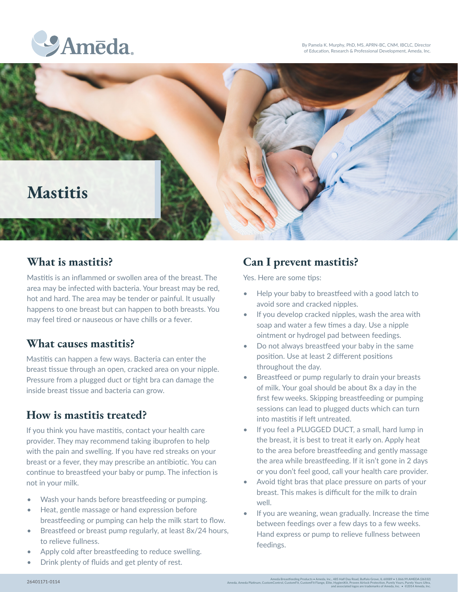By Pamela K. Murphy, PhD, MS, APRN-BC, CNM, IBCLC, Director of Education, Research & Professional Development, Ameda, Inc.





Mastitis is an inflammed or swollen area of the breast. The area may be infected with bacteria. Your breast may be red, hot and hard. The area may be tender or painful. It usually happens to one breast but can happen to both breasts. You may feel tired or nauseous or have chills or a fever.

### **What causes mastitis?**

Mastitis can happen a few ways. Bacteria can enter the breast tissue through an open, cracked area on your nipple. Pressure from a plugged duct or tight bra can damage the inside breast tissue and bacteria can grow.

### **How is mastitis treated?**

If you think you have mastitis, contact your health care provider. They may recommend taking ibuprofen to help with the pain and swelling. If you have red streaks on your breast or a fever, they may prescribe an antibiotic. You can continue to breastfeed your baby or pump. The infection is not in your milk.

- Wash your hands before breastfeeding or pumping.
- Heat, gentle massage or hand expression before breastfeeding or pumping can help the milk start to flow.
- Breastfeed or breast pump regularly, at least 8x/24 hours, to relieve fullness.
- Apply cold after breastfeeding to reduce swelling.
- Drink plenty of fluids and get plenty of rest.

### **What is mastitis? Can I prevent mastitis?**

Yes. Here are some tips:

- Help your baby to breastfeed with a good latch to avoid sore and cracked nipples.
- If you develop cracked nipples, wash the area with soap and water a few times a day. Use a nipple ointment or hydrogel pad between feedings.
- Do not always breastfeed your baby in the same position. Use at least 2 different positions throughout the day.
- Breastfeed or pump regularly to drain your breasts of milk. Your goal should be about 8x a day in the first few weeks. Skipping breastfeeding or pumping sessions can lead to plugged ducts which can turn into mastitis if left untreated.
- If you feel a PLUGGED DUCT, a small, hard lump in the breast, it is best to treat it early on. Apply heat to the area before breastfeeding and gently massage the area while breastfeeding. If it isn't gone in 2 days or you don't feel good, call your health care provider.
- Avoid tight bras that place pressure on parts of your breast. This makes is difficult for the milk to drain well.
- If you are weaning, wean gradually. Increase the time between feedings over a few days to a few weeks. Hand express or pump to relieve fullness between feedings.

Ameda Breastfeeding Products • Ameda, Inc., 485 Half Day Road, Buffalo Grove, IL 60089 • 1.866.99.AMEDA (26332)<br>Ameda, Ameda Platinum, CustomControl, CustomFit, CustomFit Flange, Elite, HygieniKit, Proven Airlock Protectio

and associated logos are trademarks of Ameda, Inc. • ©2014 Ameda, Inc.